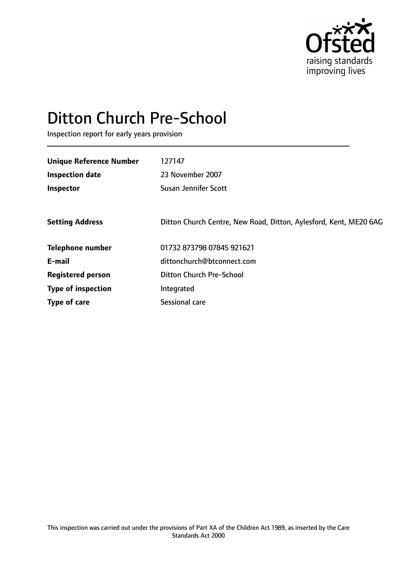

# Ditton Church Pre-School

Inspection report for early years provision

| <b>Unique Reference Number</b> | 127147                                                            |
|--------------------------------|-------------------------------------------------------------------|
| <b>Inspection date</b>         | 23 November 2007                                                  |
| Inspector                      | <b>Susan Jennifer Scott</b>                                       |
|                                |                                                                   |
| <b>Setting Address</b>         | Ditton Church Centre, New Road, Ditton, Aylesford, Kent, ME20 6AG |
| <b>Telephone number</b>        | 01732 873798 07845 921621                                         |
| E-mail                         | dittonchurch@btconnect.com                                        |
| <b>Registered person</b>       | <b>Ditton Church Pre-School</b>                                   |
| <b>Type of inspection</b>      | Integrated                                                        |
| Type of care                   | Sessional care                                                    |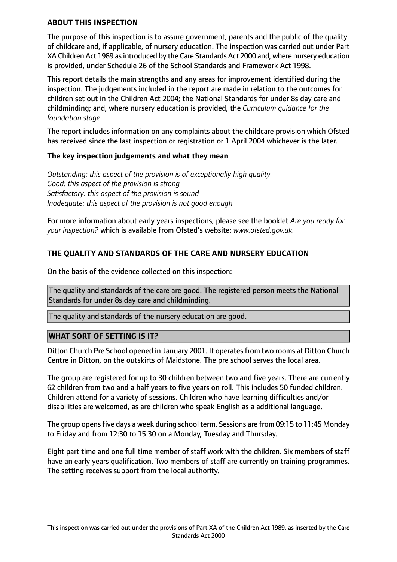#### **ABOUT THIS INSPECTION**

The purpose of this inspection is to assure government, parents and the public of the quality of childcare and, if applicable, of nursery education. The inspection was carried out under Part XA Children Act 1989 as introduced by the Care Standards Act 2000 and, where nursery education is provided, under Schedule 26 of the School Standards and Framework Act 1998.

This report details the main strengths and any areas for improvement identified during the inspection. The judgements included in the report are made in relation to the outcomes for children set out in the Children Act 2004; the National Standards for under 8s day care and childminding; and, where nursery education is provided, the *Curriculum guidance for the foundation stage.*

The report includes information on any complaints about the childcare provision which Ofsted has received since the last inspection or registration or 1 April 2004 whichever is the later.

#### **The key inspection judgements and what they mean**

*Outstanding: this aspect of the provision is of exceptionally high quality Good: this aspect of the provision is strong Satisfactory: this aspect of the provision is sound Inadequate: this aspect of the provision is not good enough*

For more information about early years inspections, please see the booklet *Are you ready for your inspection?* which is available from Ofsted's website: *www.ofsted.gov.uk.*

# **THE QUALITY AND STANDARDS OF THE CARE AND NURSERY EDUCATION**

On the basis of the evidence collected on this inspection:

The quality and standards of the care are good. The registered person meets the National Standards for under 8s day care and childminding.

The quality and standards of the nursery education are good.

#### **WHAT SORT OF SETTING IS IT?**

Ditton Church Pre School opened in January 2001. It operates from two rooms at Ditton Church Centre in Ditton, on the outskirts of Maidstone. The pre school serves the local area.

The group are registered for up to 30 children between two and five years. There are currently 62 children from two and a half years to five years on roll. This includes 50 funded children. Children attend for a variety of sessions. Children who have learning difficulties and/or disabilities are welcomed, as are children who speak English as a additional language.

The group opensfive days a week during school term. Sessions are from 09:15 to 11:45 Monday to Friday and from 12:30 to 15:30 on a Monday, Tuesday and Thursday.

Eight part time and one full time member of staff work with the children. Six members of staff have an early years qualification. Two members of staff are currently on training programmes. The setting receives support from the local authority.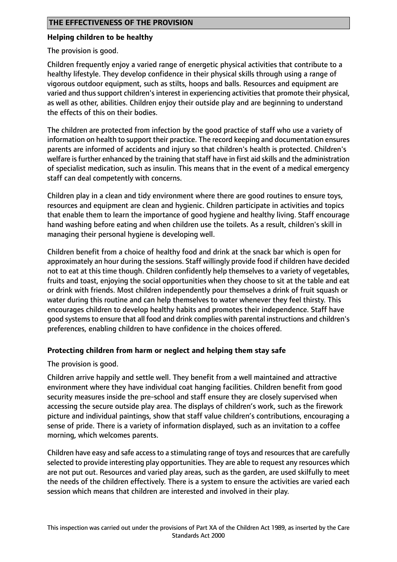## **Helping children to be healthy**

The provision is good.

Children frequently enjoy a varied range of energetic physical activities that contribute to a healthy lifestyle. They develop confidence in their physical skills through using a range of vigorous outdoor equipment, such as stilts, hoops and balls. Resources and equipment are varied and thus support children's interest in experiencing activities that promote their physical, as well as other, abilities. Children enjoy their outside play and are beginning to understand the effects of this on their bodies.

The children are protected from infection by the good practice of staff who use a variety of information on health to support their practice. The record keeping and documentation ensures parents are informed of accidents and injury so that children's health is protected. Children's welfare is further enhanced by the training that staff have in first aid skills and the administration of specialist medication, such as insulin. This means that in the event of a medical emergency staff can deal competently with concerns.

Children play in a clean and tidy environment where there are good routines to ensure toys, resources and equipment are clean and hygienic. Children participate in activities and topics that enable them to learn the importance of good hygiene and healthy living. Staff encourage hand washing before eating and when children use the toilets. As a result, children's skill in managing their personal hygiene is developing well.

Children benefit from a choice of healthy food and drink at the snack bar which is open for approximately an hour during the sessions. Staff willingly provide food if children have decided not to eat at this time though. Children confidently help themselves to a variety of vegetables, fruits and toast, enjoying the social opportunities when they choose to sit at the table and eat or drink with friends. Most children independently pour themselves a drink of fruit squash or water during this routine and can help themselves to water whenever they feel thirsty. This encourages children to develop healthy habits and promotes their independence. Staff have good systemsto ensure that all food and drink complies with parental instructions and children's preferences, enabling children to have confidence in the choices offered.

## **Protecting children from harm or neglect and helping them stay safe**

The provision is good.

Children arrive happily and settle well. They benefit from a well maintained and attractive environment where they have individual coat hanging facilities. Children benefit from good security measures inside the pre-school and staff ensure they are closely supervised when accessing the secure outside play area. The displays of children's work, such as the firework picture and individual paintings, show that staff value children's contributions, encouraging a sense of pride. There is a variety of information displayed, such as an invitation to a coffee morning, which welcomes parents.

Children have easy and safe access to a stimulating range of toys and resources that are carefully selected to provide interesting play opportunities. They are able to request any resources which are not put out. Resources and varied play areas, such as the garden, are used skilfully to meet the needs of the children effectively. There is a system to ensure the activities are varied each session which means that children are interested and involved in their play.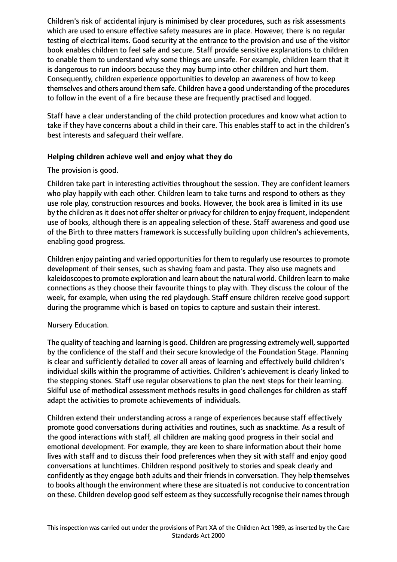Children's risk of accidental injury is minimised by clear procedures, such as risk assessments which are used to ensure effective safety measures are in place. However, there is no regular testing of electrical items. Good security at the entrance to the provision and use of the visitor book enables children to feel safe and secure. Staff provide sensitive explanations to children to enable them to understand why some things are unsafe. For example, children learn that it is dangerous to run indoors because they may bump into other children and hurt them. Consequently, children experience opportunities to develop an awareness of how to keep themselves and others around them safe. Children have a good understanding of the procedures to follow in the event of a fire because these are frequently practised and logged.

Staff have a clear understanding of the child protection procedures and know what action to take if they have concerns about a child in their care. This enables staff to act in the children's best interests and safeguard their welfare.

# **Helping children achieve well and enjoy what they do**

# The provision is good.

Children take part in interesting activities throughout the session. They are confident learners who play happily with each other. Children learn to take turns and respond to others as they use role play, construction resources and books. However, the book area is limited in its use by the children as it does not offer shelter or privacy for children to enjoy frequent, independent use of books, although there is an appealing selection of these. Staff awareness and good use of the Birth to three matters framework is successfully building upon children's achievements, enabling good progress.

Children enjoy painting and varied opportunities for them to regularly use resources to promote development of their senses, such as shaving foam and pasta. They also use magnets and kaleidoscopesto promote exploration and learn about the natural world. Children learn to make connections as they choose their favourite things to play with. They discuss the colour of the week, for example, when using the red playdough. Staff ensure children receive good support during the programme which is based on topics to capture and sustain their interest.

# Nursery Education.

The quality of teaching and learning is good. Children are progressing extremely well, supported by the confidence of the staff and their secure knowledge of the Foundation Stage. Planning is clear and sufficiently detailed to cover all areas of learning and effectively build children's individual skills within the programme of activities. Children's achievement is clearly linked to the stepping stones. Staff use regular observations to plan the next steps for their learning. Skilful use of methodical assessment methods results in good challenges for children as staff adapt the activities to promote achievements of individuals.

Children extend their understanding across a range of experiences because staff effectively promote good conversations during activities and routines, such as snacktime. As a result of the good interactions with staff, all children are making good progress in their social and emotional development. For example, they are keen to share information about their home lives with staff and to discuss their food preferences when they sit with staff and enjoy good conversations at lunchtimes. Children respond positively to stories and speak clearly and confidently as they engage both adults and their friends in conversation. They help themselves to books although the environment where these are situated is not conducive to concentration on these. Children develop good self esteem as they successfully recognise their names through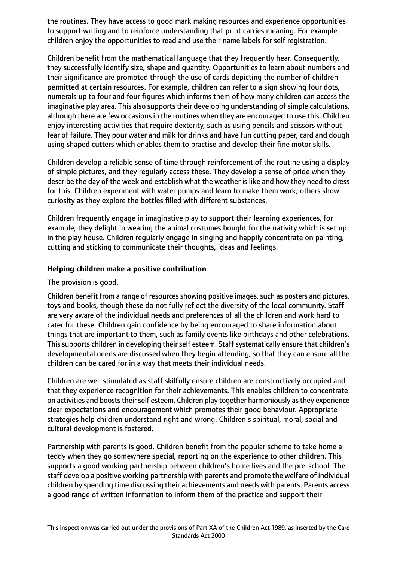the routines. They have access to good mark making resources and experience opportunities to support writing and to reinforce understanding that print carries meaning. For example, children enjoy the opportunities to read and use their name labels for self registration.

Children benefit from the mathematical language that they frequently hear. Consequently, they successfully identify size, shape and quantity. Opportunities to learn about numbers and their significance are promoted through the use of cards depicting the number of children permitted at certain resources. For example, children can refer to a sign showing four dots, numerals up to four and four figures which informs them of how many children can access the imaginative play area. This also supports their developing understanding of simple calculations, although there are few occasions in the routines when they are encouraged to use this. Children enjoy interesting activities that require dexterity, such as using pencils and scissors without fear of failure. They pour water and milk for drinks and have fun cutting paper, card and dough using shaped cutters which enables them to practise and develop their fine motor skills.

Children develop a reliable sense of time through reinforcement of the routine using a display of simple pictures, and they regularly access these. They develop a sense of pride when they describe the day of the week and establish what the weather is like and how they need to dress for this. Children experiment with water pumps and learn to make them work; others show curiosity as they explore the bottles filled with different substances.

Children frequently engage in imaginative play to support their learning experiences, for example, they delight in wearing the animal costumes bought for the nativity which is set up in the play house. Children regularly engage in singing and happily concentrate on painting, cutting and sticking to communicate their thoughts, ideas and feelings.

#### **Helping children make a positive contribution**

The provision is good.

Children benefit from a range of resources showing positive images, such as posters and pictures, toys and books, though these do not fully reflect the diversity of the local community. Staff are very aware of the individual needs and preferences of all the children and work hard to cater for these. Children gain confidence by being encouraged to share information about things that are important to them, such as family events like birthdays and other celebrations. This supports children in developing their self esteem. Staff systematically ensure that children's developmental needs are discussed when they begin attending, so that they can ensure all the children can be cared for in a way that meets their individual needs.

Children are well stimulated as staff skilfully ensure children are constructively occupied and that they experience recognition for their achievements. This enables children to concentrate on activities and boosts their self esteem. Children play together harmoniously as they experience clear expectations and encouragement which promotes their good behaviour. Appropriate strategies help children understand right and wrong. Children's spiritual, moral, social and cultural development is fostered.

Partnership with parents is good. Children benefit from the popular scheme to take home a teddy when they go somewhere special, reporting on the experience to other children. This supports a good working partnership between children's home lives and the pre-school. The staff develop a positive working partnership with parents and promote the welfare of individual children by spending time discussing their achievements and needs with parents. Parents access a good range of written information to inform them of the practice and support their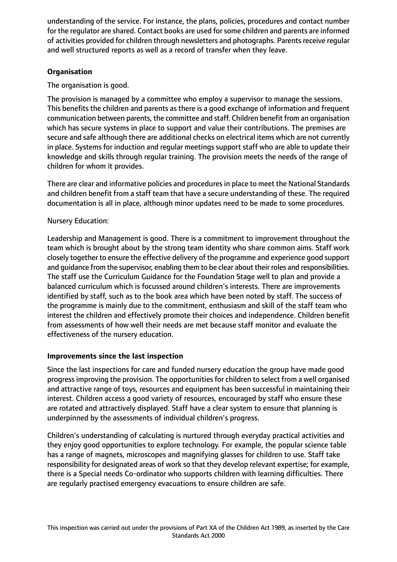understanding of the service. For instance, the plans, policies, procedures and contact number for the regulator are shared. Contact books are used for some children and parents are informed of activities provided for children through newsletters and photographs. Parents receive regular and well structured reports as well as a record of transfer when they leave.

# **Organisation**

The organisation is good.

The provision is managed by a committee who employ a supervisor to manage the sessions. This benefits the children and parents as there is a good exchange of information and frequent communication between parents, the committee and staff. Children benefit from an organisation which has secure systems in place to support and value their contributions. The premises are secure and safe although there are additional checks on electrical items which are not currently in place. Systems for induction and regular meetings support staff who are able to update their knowledge and skills through regular training. The provision meets the needs of the range of children for whom it provides.

There are clear and informative policies and proceduresin place to meet the National Standards and children benefit from a staff team that have a secure understanding of these. The required documentation is all in place, although minor updates need to be made to some procedures.

# Nursery Education:

Leadership and Management is good. There is a commitment to improvement throughout the team which is brought about by the strong team identity who share common aims. Staff work closely together to ensure the effective delivery of the programme and experience good support and guidance from the supervisor, enabling them to be clear about their roles and responsibilities. The staff use the Curriculum Guidance for the Foundation Stage well to plan and provide a balanced curriculum which is focussed around children's interests. There are improvements identified by staff, such as to the book area which have been noted by staff. The success of the programme is mainly due to the commitment, enthusiasm and skill of the staff team who interest the children and effectively promote their choices and independence. Children benefit from assessments of how well their needs are met because staff monitor and evaluate the effectiveness of the nursery education.

## **Improvements since the last inspection**

Since the last inspections for care and funded nursery education the group have made good progress improving the provision. The opportunities for children to select from a well organised and attractive range of toys, resources and equipment has been successful in maintaining their interest. Children access a good variety of resources, encouraged by staff who ensure these are rotated and attractively displayed. Staff have a clear system to ensure that planning is underpinned by the assessments of individual children's progress.

Children's understanding of calculating is nurtured through everyday practical activities and they enjoy good opportunities to explore technology. For example, the popular science table has a range of magnets, microscopes and magnifying glasses for children to use. Staff take responsibility for designated areas of work so that they develop relevant expertise; for example, there is a Special needs Co-ordinator who supports children with learning difficulties. There are regularly practised emergency evacuations to ensure children are safe.